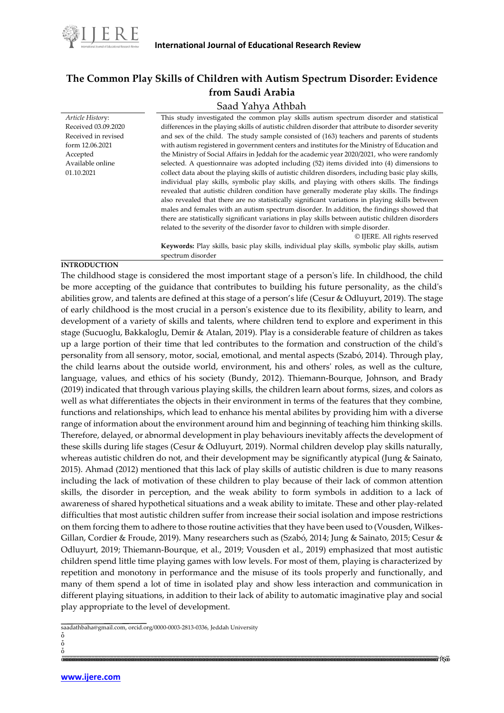

# **The Common Play Skills of Children with Autism Spectrum Disorder: Evidence from Saudi Arabia**

# Saad Yahya Athbah

*Article Histor*y: Received 03.09.2020 Received in revised form 12.06.2021 Accepted Available online 01.10.2021 This study investigated the common play skills autism spectrum disorder and statistical differences in the playing skills of autistic children disorder that attribute to disorder severity and sex of the child. The study sample consisted of (163) teachers and parents of students with autism registered in government centers and institutes for the Ministry of Education and the Ministry of Social Affairs in Jeddah for the academic year 2020/2021, who were randomly selected. A questionnaire was adopted including (52) items divided into (4) dimensions to collect data about the playing skills of autistic children disorders, including basic play skills, individual play skills, symbolic play skills, and playing with others skills. The findings revealed that autistic children condition have generally moderate play skills. The findings also revealed that there are no statistically significant variations in playing skills between males and females with an autism spectrum disorder. In addition, the findings showed that there are statistically significant variations in play skills between autistic children disorders related to the severity of the disorder favor to children with simple disorder. © IJERE. All rights reserved **Keywords:** Play skills, basic play skills, individual play skills, symbolic play skills, autism spectrum disorder

# **INTRODUCTION**

The childhood stage is considered the most important stage of a person's life. In childhood, the child be more accepting of the guidance that contributes to building his future personality, as the child's abilities grow, and talents are defined at this stage of a person's life (Cesur & Odluyurt, 2019). The stage of early childhood is the most crucial in a person's existence due to its flexibility, ability to learn, and development of a variety of skills and talents, where children tend to explore and experiment in this stage (Sucuoglu, Bakkaloglu, Demir & Atalan, 2019). Play is a considerable feature of children as takes up a large portion of their time that led contributes to the formation and construction of the child's personality from all sensory, motor, social, emotional, and mental aspects (Szabó, 2014). Through play, the child learns about the outside world, environment, his and others' roles, as well as the culture, language, values, and ethics of his society (Bundy, 2012). Thiemann-Bourque, Johnson, and Brady (2019) indicated that through various playing skills, the children learn about forms, sizes, and colors as well as what differentiates the objects in their environment in terms of the features that they combine, functions and relationships, which lead to enhance his mental abilites by providing him with a diverse range of information about the environment around him and beginning of teaching him thinking skills. Therefore, delayed, or abnormal development in play behaviours inevitably affects the development of these skills during life stages (Cesur & Odluyurt, 2019). Normal children develop play skills naturally, whereas autistic children do not, and their development may be significantly atypical (Jung & Sainato, 2015). Ahmad (2012) mentioned that this lack of play skills of autistic children is due to many reasons including the lack of motivation of these children to play because of their lack of common attention skills, the disorder in perception, and the weak ability to form symbols in addition to a lack of awareness of shared hypothetical situations and a weak ability to imitate. These and other play-related difficulties that most autistic children suffer from increase their social isolation and impose restrictions on them forcing them to adhere to those routine activities that they have been used to (Vousden, Wilkes‐ Gillan, Cordier & Froude, 2019). Many researchers such as (Szabó, 2014; Jung & Sainato, 2015; Cesur & Odluyurt, 2019; Thiemann-Bourque, et al., 2019; Vousden et al., 2019) emphasized that most autistic children spend little time playing games with low levels. For most of them, playing is characterized by repetition and monotony in performance and the misuse of its tools properly and functionally, and many of them spend a lot of time in isolated play and show less interaction and communication in different playing situations, in addition to their lack of ability to automatic imaginative play and social play appropriate to the level of development.

saadathbaha@gmail.com, orcid.org/0000-0003-2813-0336, Jeddah University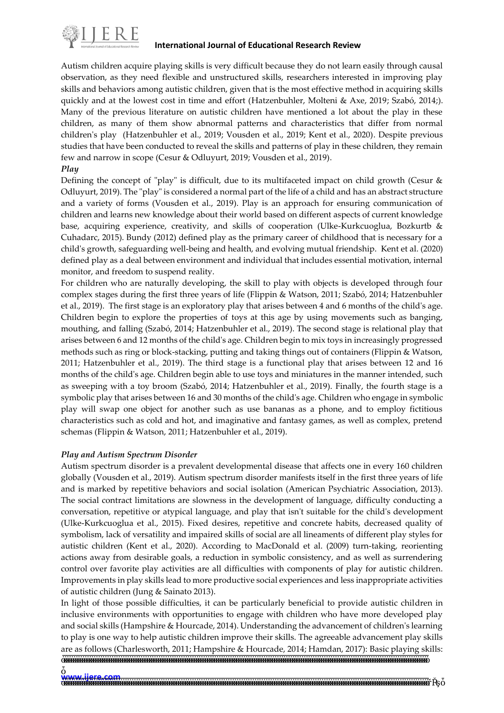

Autism children acquire playing skills is very difficult because they do not learn easily through causal observation, as they need flexible and unstructured skills, researchers interested in improving play skills and behaviors among autistic children, given that is the most effective method in acquiring skills quickly and at the lowest cost in time and effort (Hatzenbuhler, Molteni & Axe, 2019; Szabó, 2014;). Many of the previous literature on autistic children have mentioned a lot about the play in these children, as many of them show abnormal patterns and characteristics that differ from normal children's play (Hatzenbuhler et al., 2019; Vousden et al., 2019; Kent et al., 2020). Despite previous studies that have been conducted to reveal the skills and patterns of play in these children, they remain few and narrow in scope (Cesur & Odluyurt, 2019; Vousden et al., 2019).

# *Play*

Defining the concept of "play" is difficult, due to its multifaceted impact on child growth (Cesur & Odluyurt, 2019). The "play" is considered a normal part of the life of a child and has an abstract structure and a variety of forms (Vousden et al., 2019). Play is an approach for ensuring communication of children and learns new knowledge about their world based on different aspects of current knowledge base, acquiring experience, creativity, and skills of cooperation (Ulke-Kurkcuoglua, Bozkurtb & Cuhadarc, 2015). Bundy (2012) defined play as the primary career of childhood that is necessary for a child's growth, safeguarding well-being and health, and evolving mutual friendship. Kent et al. (2020) defined play as a deal between environment and individual that includes essential motivation, internal monitor, and freedom to suspend reality.

For children who are naturally developing, the skill to play with objects is developed through four complex stages during the first three years of life (Flippin & Watson, 2011; Szabó, 2014; Hatzenbuhler et al., 2019). The first stage is an exploratory play that arises between 4 and 6 months of the child's age. Children begin to explore the properties of toys at this age by using movements such as banging, mouthing, and falling (Szabó, 2014; Hatzenbuhler et al., 2019). The second stage is relational play that arises between 6 and 12 months of the child's age. Children begin to mix toys in increasingly progressed methods such as ring or block-stacking, putting and taking things out of containers (Flippin & Watson, 2011; Hatzenbuhler et al., 2019). The third stage is a functional play that arises between 12 and 16 months of the child's age. Children begin able to use toys and miniatures in the manner intended, such as sweeping with a toy broom (Szabó, 2014; Hatzenbuhler et al., 2019). Finally, the fourth stage is a symbolic play that arises between 16 and 30 months of the child's age. Children who engage in symbolic play will swap one object for another such as use bananas as a phone, and to employ fictitious characteristics such as cold and hot, and imaginative and fantasy games, as well as complex, pretend schemas (Flippin & Watson, 2011; Hatzenbuhler et al., 2019).

# *Play and Autism Spectrum Disorder*

Autism spectrum disorder is a prevalent developmental disease that affects one in every 160 children globally (Vousden et al., 2019). Autism spectrum disorder manifests itself in the first three years of life and is marked by repetitive behaviors and social isolation (American Psychiatric Association, 2013). The social contract limitations are slowness in the development of language, difficulty conducting a conversation, repetitive or atypical language, and play that isn't suitable for the child's development (Ulke-Kurkcuoglua et al., 2015). Fixed desires, repetitive and concrete habits, decreased quality of symbolism, lack of versatility and impaired skills of social are all lineaments of different play styles for autistic children (Kent et al., 2020). According to MacDonald et al. (2009) turn-taking, reorienting actions away from desirable goals, a reduction in symbolic consistency, and as well as surrendering control over favorite play activities are all difficulties with components of play for autistic children. Improvements in play skills lead to more productive social experiences and less inappropriate activities of autistic children (Jung & Sainato 2013).

In light of those possible difficulties, it can be particularly beneficial to provide autistic children in inclusive environments with opportunities to engage with children who have more developed play and social skills (Hampshire & Hourcade, 2014). Understanding the advancement of children's learning to play is one way to help autistic children improve their skills. The agreeable advancement play skills are as follows (Charlesworth, 2011; Hampshire & Hourcade, 2014; Hamdan, 2017): Basic playing skills: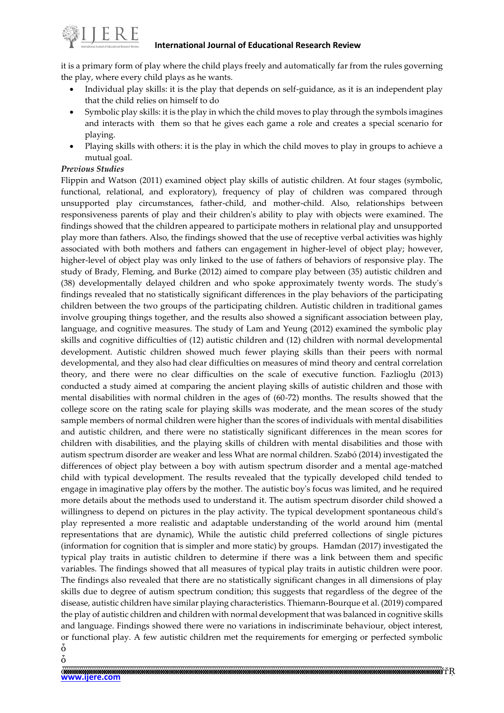

it is a primary form of play where the child plays freely and automatically far from the rules governing the play, where every child plays as he wants.

- Individual play skills: it is the play that depends on self-guidance, as it is an independent play that the child relies on himself to do
- Symbolic play skills: it is the play in which the child moves to play through the symbols imagines and interacts with them so that he gives each game a role and creates a special scenario for playing.
- Playing skills with others: it is the play in which the child moves to play in groups to achieve a mutual goal.

# *Previous Studies*

Flippin and Watson (2011) examined object play skills of autistic children. At four stages (symbolic, functional, relational, and exploratory), frequency of play of children was compared through unsupported play circumstances, father-child, and mother-child. Also, relationships between responsiveness parents of play and their children's ability to play with objects were examined. The findings showed that the children appeared to participate mothers in relational play and unsupported play more than fathers. Also, the findings showed that the use of receptive verbal activities was highly associated with both mothers and fathers can engagement in higher-level of object play; however, higher-level of object play was only linked to the use of fathers of behaviors of responsive play. The study of Brady, Fleming, and Burke (2012) aimed to compare play between (35) autistic children and (38) developmentally delayed children and who spoke approximately twenty words. The study's findings revealed that no statistically significant differences in the play behaviors of the participating children between the two groups of the participating children. Autistic children in traditional games involve grouping things together, and the results also showed a significant association between play, language, and cognitive measures. The study of Lam and Yeung (2012) examined the symbolic play skills and cognitive difficulties of (12) autistic children and (12) children with normal developmental development. Autistic children showed much fewer playing skills than their peers with normal developmental, and they also had clear difficulties on measures of mind theory and central correlation theory, and there were no clear difficulties on the scale of executive function. Fazlioglu (2013) conducted a study aimed at comparing the ancient playing skills of autistic children and those with mental disabilities with normal children in the ages of (60-72) months. The results showed that the college score on the rating scale for playing skills was moderate, and the mean scores of the study sample members of normal children were higher than the scores of individuals with mental disabilities and autistic children, and there were no statistically significant differences in the mean scores for children with disabilities, and the playing skills of children with mental disabilities and those with autism spectrum disorder are weaker and less What are normal children. Szabó (2014) investigated the differences of object play between a boy with autism spectrum disorder and a mental age-matched child with typical development. The results revealed that the typically developed child tended to engage in imaginative play offers by the mother. The autistic boy's focus was limited, and he required more details about the methods used to understand it. The autism spectrum disorder child showed a willingness to depend on pictures in the play activity. The typical development spontaneous child's play represented a more realistic and adaptable understanding of the world around him (mental representations that are dynamic), While the autistic child preferred collections of single pictures (information for cognition that is simpler and more static) by groups. Hamdan (2017) investigated the typical play traits in autistic children to determine if there was a link between them and specific variables. The findings showed that all measures of typical play traits in autistic children were poor. The findings also revealed that there are no statistically significant changes in all dimensions of play skills due to degree of autism spectrum condition; this suggests that regardless of the degree of the disease, autistic children have similar playing characteristics. Thiemann-Bourque et al. (2019) compared the play of autistic children and children with normal development that was balanced in cognitive skills and language. Findings showed there were no variations in indiscriminate behaviour, object interest, or functional play. A few autistic children met the requirements for emerging or perfected symbolic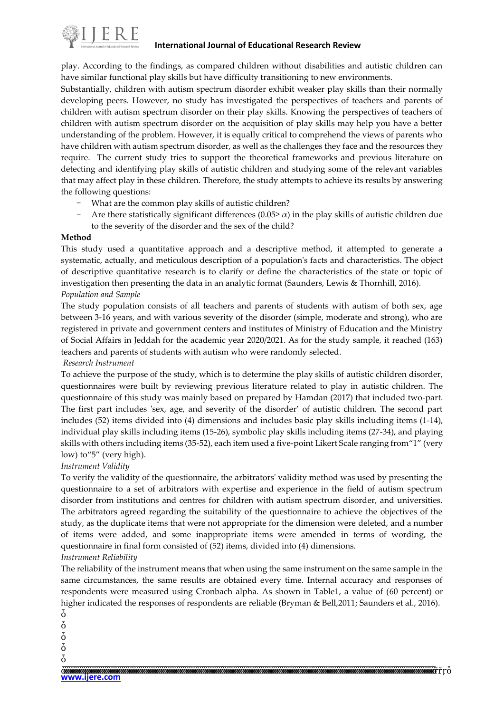

play. According to the findings, as compared children without disabilities and autistic children can have similar functional play skills but have difficulty transitioning to new environments.

Substantially, children with autism spectrum disorder exhibit weaker play skills than their normally developing peers. However, no study has investigated the perspectives of teachers and parents of children with autism spectrum disorder on their play skills. Knowing the perspectives of teachers of children with autism spectrum disorder on the acquisition of play skills may help you have a better understanding of the problem. However, it is equally critical to comprehend the views of parents who have children with autism spectrum disorder, as well as the challenges they face and the resources they require. The current study tries to support the theoretical frameworks and previous literature on detecting and identifying play skills of autistic children and studying some of the relevant variables that may affect play in these children. Therefore, the study attempts to achieve its results by answering the following questions:

- What are the common play skills of autistic children?
- Are there statistically significant differences (0.05 $\geq \alpha$ ) in the play skills of autistic children due to the severity of the disorder and the sex of the child?

#### **Method**

This study used a quantitative approach and a descriptive method, it attempted to generate a systematic, actually, and meticulous description of a population's facts and characteristics. The object of descriptive quantitative research is to clarify or define the characteristics of the state or topic of investigation then presenting the data in an analytic format (Saunders, Lewis & Thornhill, 2016). *Population and Sample*

The study population consists of all teachers and parents of students with autism of both sex, age between 3-16 years, and with various severity of the disorder (simple, moderate and strong), who are registered in private and government centers and institutes of Ministry of Education and the Ministry of Social Affairs in Jeddah for the academic year 2020/2021. As for the study sample, it reached (163) teachers and parents of students with autism who were randomly selected.

#### *Research Instrument*

To achieve the purpose of the study, which is to determine the play skills of autistic children disorder, questionnaires were built by reviewing previous literature related to play in autistic children. The questionnaire of this study was mainly based on prepared by Hamdan (2017) that included two-part. The first part includes 'sex, age, and severity of the disorder' of autistic children. The second part includes (52) items divided into (4) dimensions and includes basic play skills including items (1-14), individual play skills including items (15-26), symbolic play skills including items (27-34), and playing skills with others including items (35-52), each item used a five-point Likert Scale ranging from"1" (very low) to"5" (very high).

# *Instrument Validity*

To verify the validity of the questionnaire, the arbitrators' validity method was used by presenting the questionnaire to a set of arbitrators with expertise and experience in the field of autism spectrum disorder from institutions and centres for children with autism spectrum disorder, and universities. The arbitrators agreed regarding the suitability of the questionnaire to achieve the objectives of the study, as the duplicate items that were not appropriate for the dimension were deleted, and a number of items were added, and some inappropriate items were amended in terms of wording, the questionnaire in final form consisted of (52) items, divided into (4) dimensions.

#### *Instrument Reliability*

The reliability of the instrument means that when using the same instrument on the same sample in the same circumstances, the same results are obtained every time. Internal accuracy and responses of respondents were measured using Cronbach alpha. As shown in Table1, a value of (60 percent) or higher indicated the responses of respondents are reliable (Bryman & Bell,2011; Saunders et al., 2016).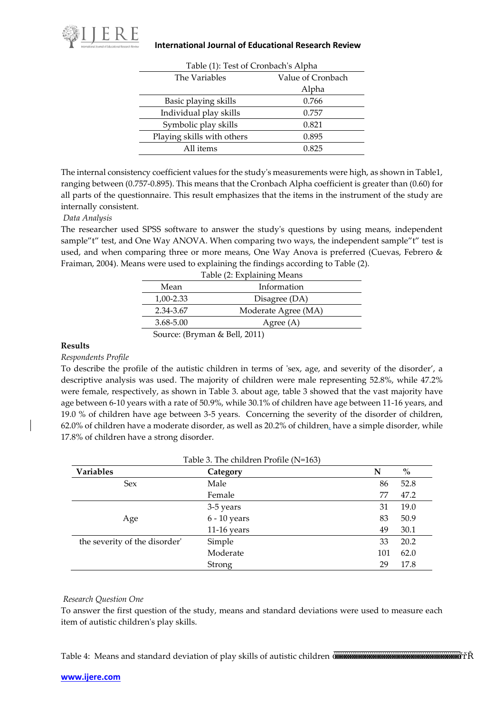

| Table (1): Test of Cronbach's Alpha |                   |  |  |  |
|-------------------------------------|-------------------|--|--|--|
| The Variables                       | Value of Cronbach |  |  |  |
|                                     | Alpha             |  |  |  |
| Basic playing skills                | 0.766             |  |  |  |
| Individual play skills              | 0.757             |  |  |  |
| Symbolic play skills                | 0.821             |  |  |  |
| Playing skills with others          | 0.895             |  |  |  |
| All items                           | 0.825             |  |  |  |

The internal consistency coefficient values for the study's measurements were high, as shown in Table1, ranging between (0.757-0.895). This means that the Cronbach Alpha coefficient is greater than (0.60) for all parts of the questionnaire. This result emphasizes that the items in the instrument of the study are internally consistent.

# *Data Analysis*

The researcher used SPSS software to answer the study's questions by using means, independent sample"t" test, and One Way ANOVA. When comparing two ways, the independent sample"t" test is used, and when comparing three or more means, One Way Anova is preferred (Cuevas, Febrero & Fraiman, 2004). Means were used to explaining the findings according to Table (2).

| Table (2: Explaining Means                        |                     |  |  |  |  |
|---------------------------------------------------|---------------------|--|--|--|--|
| Mean                                              | Information         |  |  |  |  |
| 1,00-2.33<br>Disagree (DA)                        |                     |  |  |  |  |
| 2.34-3.67                                         | Moderate Agree (MA) |  |  |  |  |
| 3.68-5.00                                         | Agree $(A)$         |  |  |  |  |
| $C_1, \ldots, C_n, \ldots, C_n, C_n, \ldots, C_n$ |                     |  |  |  |  |

Source: (Bryman & Bell, 2011)

# **Results**

# *Respondents Profile*

To describe the profile of the autistic children in terms of 'sex, age, and severity of the disorder', a descriptive analysis was used. The majority of children were male representing 52.8%, while 47.2% were female, respectively, as shown in Table 3. about age, table 3 showed that the vast majority have age between 6-10 years with a rate of 50.9%, while 30.1% of children have age between 11-16 years, and 19.0 % of children have age between 3-5 years. Concerning the severity of the disorder of children, 62.0% of children have a moderate disorder, as well as 20.2% of children, have a simple disorder, while 17.8% of children have a strong disorder.

| <b>Variables</b>              | N             | $\%$ |      |
|-------------------------------|---------------|------|------|
| Male<br><b>Sex</b>            |               | 86   | 52.8 |
|                               | Female        | 77   | 47.2 |
|                               | 3-5 years     | 31   | 19.0 |
| Age                           | 6 - 10 years  | 83   | 50.9 |
|                               | $11-16$ years | 49   | 30.1 |
| the severity of the disorder' | Simple        | 33   | 20.2 |
|                               | Moderate      | 101  | 62.0 |
|                               | Strong        | 29   | 17.8 |

#### *Research Question One*

To answer the first question of the study, means and standard deviations were used to measure each item of autistic children's play skills.

Table 4: Means and standard deviation of play skills of autistic children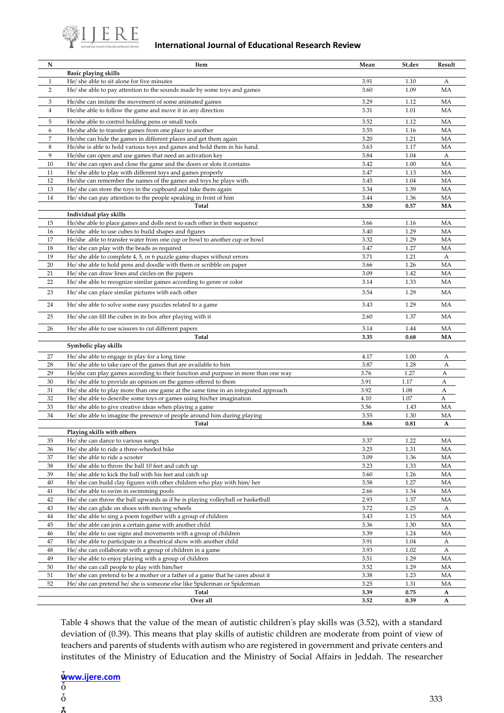

| N              | Item                                                                                                                                | Mean         | St.dev       | Result    |
|----------------|-------------------------------------------------------------------------------------------------------------------------------------|--------------|--------------|-----------|
|                | <b>Basic playing skills</b>                                                                                                         |              |              |           |
| $\mathbf{1}$   | He/ she able to sit alone for five minutes                                                                                          | 3.91         | 1.10         | А         |
| 2              | He/ she able to pay attention to the sounds made by some toys and games                                                             | 3.60         | 1.09         | MA        |
| 3              | He/she can imitate the movement of some animated games                                                                              | 3.29         | 1.12         | MA        |
| $\overline{4}$ | He/she able to follow the game and move it in any direction                                                                         | 3.31         | 1.01         | MA        |
|                |                                                                                                                                     |              |              |           |
| 5              | He/she able to control holding pens or small tools                                                                                  | 3.52         | 1.12         | MA        |
| 6              | He/she able to transfer games from one place to another                                                                             | 3.55         | 1.16         | MA        |
| $\overline{7}$ | He/she can hide the games in different places and get them again                                                                    | 3.20         | 1.21         | MA        |
| 8<br>9         | He/she is able to hold various toys and games and hold them in his hand.                                                            | 3.63         | 1.17         | MA        |
| 10             | He/she can open and use games that need an activation key<br>He/ she can open and close the game and the doors or slots it contains | 3.84<br>3.42 | 1.04<br>1.00 | А<br>MA   |
| 11             | He/ she able to play with different toys and games properly                                                                         | 3.47         | 1.13         | MA        |
| 12             | He/she can remember the names of the games and toys he plays with.                                                                  | 3.45         | 1.04         | MA        |
| 13             | He/ she can store the toys in the cupboard and take them again                                                                      | 3.34         | 1.39         | MA        |
| 14             | He/ she can pay attention to the people speaking in front of him                                                                    | 3.44         | 1.36         | MA        |
|                | Total                                                                                                                               | 3.50         | 0.57         | MA        |
|                | Individual play skills                                                                                                              |              |              |           |
| 15             | He/she able to place games and dolls next to each other in their sequence                                                           | 3.66         | 1.16         | MA        |
| 16             | He/she able to use cubes to build shapes and figures                                                                                | 3.40         | 1.29         | MA        |
| 17             | He/she able to transfer water from one cup or bowl to another cup or bowl                                                           | 3.32         | 1.29         | MA        |
| 18             | He/ she can play with the beads as required                                                                                         | 3.47         | 1.27         | MA        |
| 19             | He/ she able to complete 4, 5, or 6 puzzle game shapes without errors                                                               | 3.71         | 1.21         | A         |
| 20             | He/ she able to hold pens and doodle with them or scribble on paper                                                                 | 3.66         | 1.26         | MA        |
| 21             | He/ she can draw lines and circles on the papers                                                                                    | 3.09         | 1.42         | MA        |
| 22             | He/ she able to recognize similar games according to genre or color                                                                 | 3.14         | 1.33         | MA        |
| 23             | He/ she can place similar pictures with each other                                                                                  | 3.54         | 1.29         | MA        |
| 24             | He/ she able to solve some easy puzzles related to a game                                                                           | 3.43         | 1.29         | <b>MA</b> |
| 25             | He/ she can fill the cubes in its box after playing with it                                                                         | 2.60         | 1.37         | MA        |
| 26             | He/she able to use scissors to cut different papers                                                                                 | 3.14         | 1.44         | MA        |
|                | <b>Total</b>                                                                                                                        | 3.35         | 0.68         | MA        |
|                | Symbolic play skills                                                                                                                |              |              |           |
| 27             | He/ she able to engage in play for a long time                                                                                      | 4.17         | 1.00         | А         |
| 28             | He/ she able to take care of the games that are available to him                                                                    | 3.87         | 1.28         | А         |
| 29             | He/she can play games according to their function and purpose in more than one way                                                  | 3.76         | 1.27         | А         |
| 30             | He/ she able to provide an opinion on the games offered to them                                                                     | 3.91         | 1.17         | А         |
| 31             | He/ she able to play more than one game at the same time in an integrated approach                                                  | 3.92         | 1.08         | А         |
| 32             | He/ she able to describe some toys or games using his/her imagination                                                               | 4.10         | 1.07         | А         |
| 33             | He/ she able to give creative ideas when playing a game                                                                             | 3.56         | 1.43         | MA        |
| 34             | He/ she able to imagine the presence of people around him during playing<br>Total                                                   | 3.55<br>3.86 | 1.30<br>0.81 | MA<br>A   |
|                | Playing skills with others                                                                                                          |              |              |           |
| 35             | He/ she can dance to various songs                                                                                                  | 3.37         | 1.22         | МA        |
| 36             | He/ she able to ride a three-wheeled bike                                                                                           | 3.25         | 1.31         | MA        |
| 37             | He/ she able to ride a scooter                                                                                                      | 3.09         | 1.36         | MA        |
| 38             | He/ she able to throw the ball 10 feet and catch up                                                                                 | 3.23         | 1.33         | MA        |
| 39             | He/ she able to kick the ball with his feet and catch up                                                                            | 3.60         | 1.26         | MA        |
| 40             | He/ she can build clay figures with other children who play with him/ her                                                           | 3.58         | 1.27         | MA        |
| 41             | He/ she able to swim in swimming pools                                                                                              | 2.66         | 1.34         | MA        |
| 42             | He/ she can throw the ball upwards as if he is playing volleyball or basketball                                                     | 2.93         | 1.37         | MA        |
| 43             | He/ she can glide on shoes with moving wheels                                                                                       | 3.72         | 1.25         | А         |
| 44             | He/ she able to sing a poem together with a group of children                                                                       | 3.43         | 1.15         | MA        |
| 45             | He/ she able can join a certain game with another child                                                                             | 3.36         | 1.30         | MA        |
| 46             | He/ she able to use signs and movements with a group of children                                                                    | 3.39         | 1.24         | MA        |
| 47             | He/ she able to participate in a theatrical show with another child                                                                 | 3.91         | 1.04         | А         |
| 48             | He/ she can collaborate with a group of children in a game                                                                          | 3.93         | 1.02         | A         |
| 49             | He/ she able to enjoy playing with a group of children                                                                              | 3.51         | 1.29         | MA        |
| 50             | He/ she can call people to play with him/her                                                                                        | 3.52         | 1.29         | МA        |
| 51             | He/ she can pretend to be a mother or a father of a game that he cares about it                                                     | 3.38         | 1.23         | MA        |
| 52             | He/ she can pretend he/ she is someone else like Spiderman or Spiderman                                                             | 3.25         | 1.31         | MA        |
|                | Total                                                                                                                               | 3.39         | 0.75         | A         |
|                | Over all                                                                                                                            | 3.52         | 0.39         | A         |

Table 4 shows that the value of the mean of autistic children's play skills was (3.52), with a standard deviation of (0.39). This means that play skills of autistic children are moderate from point of view of teachers and parents of students with autism who are registered in government and private centers and institutes of the Ministry of Education and the Ministry of Social Affairs in Jeddah. The researcher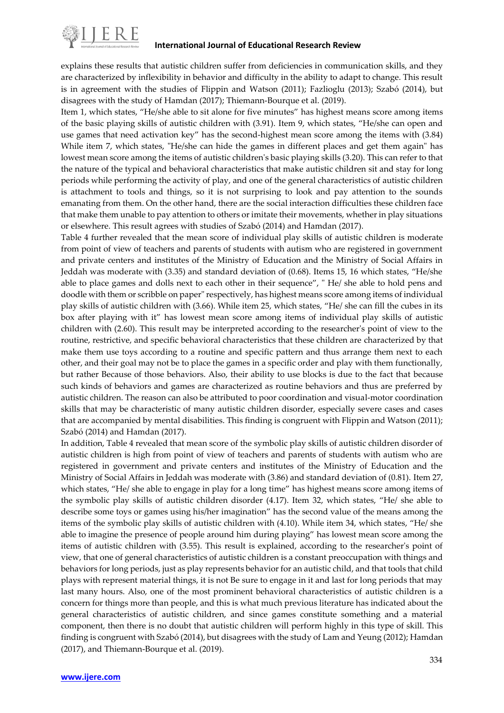

explains these results that autistic children suffer from deficiencies in communication skills, and they are characterized by inflexibility in behavior and difficulty in the ability to adapt to change. This result is in agreement with the studies of Flippin and Watson (2011); Fazlioglu (2013); Szabó (2014), but disagrees with the study of Hamdan (2017); Thiemann-Bourque et al. (2019).

Item 1, which states, "He/she able to sit alone for five minutes" has highest means score among items of the basic playing skills of autistic children with (3.91). Item 9, which states, "He/she can open and use games that need activation key" has the second-highest mean score among the items with (3.84) While item 7, which states, "He/she can hide the games in different places and get them again" has lowest mean score among the items of autistic children's basic playing skills (3.20). This can refer to that the nature of the typical and behavioral characteristics that make autistic children sit and stay for long periods while performing the activity of play, and one of the general characteristics of autistic children is attachment to tools and things, so it is not surprising to look and pay attention to the sounds emanating from them. On the other hand, there are the social interaction difficulties these children face that make them unable to pay attention to others or imitate their movements, whether in play situations or elsewhere. This result agrees with studies of Szabó (2014) and Hamdan (2017).

Table 4 further revealed that the mean score of individual play skills of autistic children is moderate from point of view of teachers and parents of students with autism who are registered in government and private centers and institutes of the Ministry of Education and the Ministry of Social Affairs in Jeddah was moderate with (3.35) and standard deviation of (0.68). Items 15, 16 which states, "He/she able to place games and dolls next to each other in their sequence", " He/ she able to hold pens and doodle with them or scribble on paper" respectively, has highest means score among items of individual play skills of autistic children with (3.66). While item 25, which states, "He/ she can fill the cubes in its box after playing with it" has lowest mean score among items of individual play skills of autistic children with (2.60). This result may be interpreted according to the researcher's point of view to the routine, restrictive, and specific behavioral characteristics that these children are characterized by that make them use toys according to a routine and specific pattern and thus arrange them next to each other, and their goal may not be to place the games in a specific order and play with them functionally, but rather Because of those behaviors. Also, their ability to use blocks is due to the fact that because such kinds of behaviors and games are characterized as routine behaviors and thus are preferred by autistic children. The reason can also be attributed to poor coordination and visual-motor coordination skills that may be characteristic of many autistic children disorder, especially severe cases and cases that are accompanied by mental disabilities. This finding is congruent with Flippin and Watson (2011); Szabó (2014) and Hamdan (2017).

In addition, Table 4 revealed that mean score of the symbolic play skills of autistic children disorder of autistic children is high from point of view of teachers and parents of students with autism who are registered in government and private centers and institutes of the Ministry of Education and the Ministry of Social Affairs in Jeddah was moderate with (3.86) and standard deviation of (0.81). Item 27, which states, "He/ she able to engage in play for a long time" has highest means score among items of the symbolic play skills of autistic children disorder (4.17). Item 32, which states, "He/ she able to describe some toys or games using his/her imagination" has the second value of the means among the items of the symbolic play skills of autistic children with (4.10). While item 34, which states, "He/ she able to imagine the presence of people around him during playing" has lowest mean score among the items of autistic children with (3.55). This result is explained, according to the researcher's point of view, that one of general characteristics of autistic children is a constant preoccupation with things and behaviors for long periods, just as play represents behavior for an autistic child, and that tools that child plays with represent material things, it is not Be sure to engage in it and last for long periods that may last many hours. Also, one of the most prominent behavioral characteristics of autistic children is a concern for things more than people, and this is what much previous literature has indicated about the general characteristics of autistic children, and since games constitute something and a material component, then there is no doubt that autistic children will perform highly in this type of skill. This finding is congruent with Szabó (2014), but disagrees with the study of Lam and Yeung (2012); Hamdan (2017), and Thiemann-Bourque et al. (2019).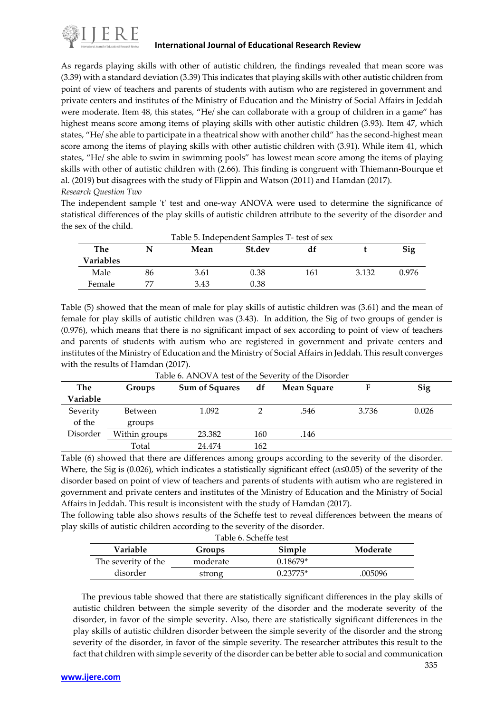

As regards playing skills with other of autistic children, the findings revealed that mean score was (3.39) with a standard deviation (3.39) This indicates that playing skills with other autistic children from point of view of teachers and parents of students with autism who are registered in government and private centers and institutes of the Ministry of Education and the Ministry of Social Affairs in Jeddah were moderate. Item 48, this states, "He/ she can collaborate with a group of children in a game" has highest means score among items of playing skills with other autistic children (3.93). Item 47, which states, "He/ she able to participate in a theatrical show with another child" has the second-highest mean score among the items of playing skills with other autistic children with (3.91). While item 41, which states, "He/ she able to swim in swimming pools" has lowest mean score among the items of playing skills with other of autistic children with (2.66). This finding is congruent with Thiemann-Bourque et al. (2019) but disagrees with the study of Flippin and Watson (2011) and Hamdan (2017). *Research Question Two*

The independent sample 't' test and one-way ANOVA were used to determine the significance of statistical differences of the play skills of autistic children attribute to the severity of the disorder and the sex of the child.

| Table 5. Independent Samples T- test of sex |    |      |               |     |       |       |
|---------------------------------------------|----|------|---------------|-----|-------|-------|
| The                                         |    | Mean | <b>St.dev</b> | df  |       | Sig   |
| Variables                                   |    |      |               |     |       |       |
| Male                                        | 86 | 3.61 | 0.38          | 161 | 3.132 | 0.976 |
| Female                                      | 77 | 3.43 | 0.38          |     |       |       |

Table (5) showed that the mean of male for play skills of autistic children was (3.61) and the mean of female for play skills of autistic children was (3.43). In addition, the Sig of two groups of gender is (0.976), which means that there is no significant impact of sex according to point of view of teachers and parents of students with autism who are registered in government and private centers and institutes of the Ministry of Education and the Ministry of Social Affairs in Jeddah. This result converges with the results of Hamdan (2017).

| The      | Groups         | <b>Sum of Squares</b> | df  | Mean Square |       | Sig   |
|----------|----------------|-----------------------|-----|-------------|-------|-------|
| Variable |                |                       |     |             |       |       |
| Severity | <b>Between</b> | 1.092                 |     | .546        | 3.736 | 0.026 |
| of the   | groups         |                       |     |             |       |       |
| Disorder | Within groups  | 23.382                | 160 | .146        |       |       |
|          | Total          | 24.474                | 162 |             |       |       |

Table 6. ANOVA test of the Severity of the Disorder

Table (6) showed that there are differences among groups according to the severity of the disorder. Where, the Sig is (0.026), which indicates a statistically significant effect ( $\alpha \le 0.05$ ) of the severity of the disorder based on point of view of teachers and parents of students with autism who are registered in government and private centers and institutes of the Ministry of Education and the Ministry of Social Affairs in Jeddah. This result is inconsistent with the study of Hamdan (2017).

The following table also shows results of the Scheffe test to reveal differences between the means of play skills of autistic children according to the severity of the disorder.

| Table 6. Scheffe test                           |          |            |         |  |  |
|-------------------------------------------------|----------|------------|---------|--|--|
| Simple<br><b>Variable</b><br>Moderate<br>Groups |          |            |         |  |  |
| The severity of the                             | moderate | $0.18679*$ |         |  |  |
| disorder                                        | strong   | $0.23775*$ | .005096 |  |  |

 The previous table showed that there are statistically significant differences in the play skills of autistic children between the simple severity of the disorder and the moderate severity of the disorder, in favor of the simple severity. Also, there are statistically significant differences in the play skills of autistic children disorder between the simple severity of the disorder and the strong severity of the disorder, in favor of the simple severity. The researcher attributes this result to the fact that children with simple severity of the disorder can be better able to social and communication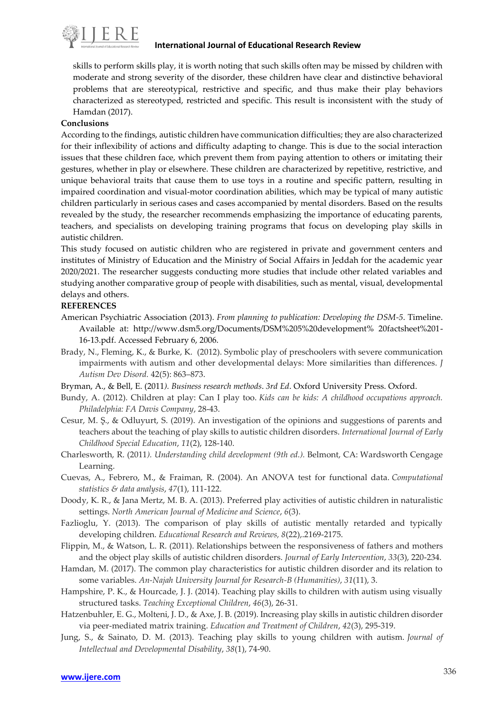

skills to perform skills play, it is worth noting that such skills often may be missed by children with moderate and strong severity of the disorder, these children have clear and distinctive behavioral problems that are stereotypical, restrictive and specific, and thus make their play behaviors characterized as stereotyped, restricted and specific. This result is inconsistent with the study of Hamdan (2017).

# **Conclusions**

According to the findings, autistic children have communication difficulties; they are also characterized for their inflexibility of actions and difficulty adapting to change. This is due to the social interaction issues that these children face, which prevent them from paying attention to others or imitating their gestures, whether in play or elsewhere. These children are characterized by repetitive, restrictive, and unique behavioral traits that cause them to use toys in a routine and specific pattern, resulting in impaired coordination and visual-motor coordination abilities, which may be typical of many autistic children particularly in serious cases and cases accompanied by mental disorders. Based on the results revealed by the study, the researcher recommends emphasizing the importance of educating parents, teachers, and specialists on developing training programs that focus on developing play skills in autistic children.

This study focused on autistic children who are registered in private and government centers and institutes of Ministry of Education and the Ministry of Social Affairs in Jeddah for the academic year 2020/2021. The researcher suggests conducting more studies that include other related variables and studying another comparative group of people with disabilities, such as mental, visual, developmental delays and others.

# **REFERENCES**

- American Psychiatric Association (2013). *From planning to publication: Developing the DSM-5*. Timeline. Available at: http://www.dsm5.org/Documents/DSM%205%20development% 20factsheet%201- 16-13.pdf. Accessed February 6, 2006.
- Brady, N., Fleming, K., & Burke, K. (2012). Symbolic play of preschoolers with severe communication impairments with autism and other developmental delays: More similarities than differences. *J Autism Dev Disord.* 42(5): 863–873.
- Bryman, A., & Bell, E. (2011*). Business research methods*. *3rd Ed*. Oxford University Press. Oxford.
- Bundy, A. (2012). Children at play: Can I play too. *Kids can be kids: A childhood occupations approach. Philadelphia: FA Davis Company*, 28-43.
- Cesur, M. Ş., & Odluyurt, S. (2019). An investigation of the opinions and suggestions of parents and teachers about the teaching of play skills to autistic children disorders. *International Journal of Early Childhood Special Education*, *11*(2), 128-140.
- Charlesworth, R. (2011*). Understanding child development (9th ed.).* Belmont, CA: Wardsworth Cengage Learning.
- Cuevas, A., Febrero, M., & Fraiman, R. (2004). An ANOVA test for functional data. *Computational statistics & data analysis*, *47*(1), 111-122.
- Doody, K. R., & Jana Mertz, M. B. A. (2013). Preferred play activities of autistic children in naturalistic settings. *North American Journal of Medicine and Science*, *6*(3).
- Fazlioglu, Y. (2013). The comparison of play skills of autistic mentally retarded and typically developing children. *Educational Research and Reviews, 8*(22),.2169-2175.
- Flippin, M., & Watson, L. R. (2011). Relationships between the responsiveness of fathers and mothers and the object play skills of autistic children disorders. *Journal of Early Intervention*, *33*(3), 220-234.
- Hamdan, M. (2017). The common play characteristics for autistic children disorder and its relation to some variables. *An-Najah University Journal for Research-B (Humanities)*, *31*(11), 3.
- Hampshire, P. K., & Hourcade, J. J. (2014). Teaching play skills to children with autism using visually structured tasks. *Teaching Exceptional Children*, *46*(3), 26-31.
- Hatzenbuhler, E. G., Molteni, J. D., & Axe, J. B. (2019). Increasing play skills in autistic children disorder via peer-mediated matrix training. *Education and Treatment of Children*, *42*(3), 295-319.
- Jung, S., & Sainato, D. M. (2013). Teaching play skills to young children with autism. *Journal of Intellectual and Developmental Disability*, *38*(1), 74-90.